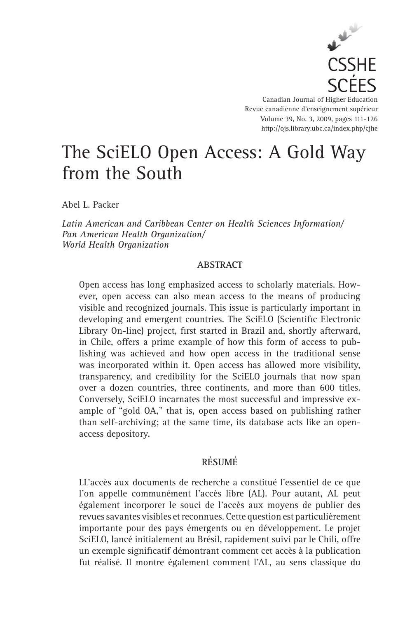

Canadian Journal of Higher Education Revue canadienne d'enseignement supérieur Volume 39, No. 3, 2009, pages 111-126 http://ojs.library.ubc.ca/index.php/cjhe

# The SciELO Open Access: A Gold Way from the South

Abel L. Packer

*Latin American and Caribbean Center on Health Sciences Information/ Pan American Health Organization/ World Health Organization*

## **ABSTRACT**

Open access has long emphasized access to scholarly materials. However, open access can also mean access to the means of producing visible and recognized journals. This issue is particularly important in developing and emergent countries. The SciELO (Scientific Electronic Library On-line) project, first started in Brazil and, shortly afterward, in Chile, offers a prime example of how this form of access to publishing was achieved and how open access in the traditional sense was incorporated within it. Open access has allowed more visibility, transparency, and credibility for the SciELO journals that now span over a dozen countries, three continents, and more than 600 titles. Conversely, SciELO incarnates the most successful and impressive example of "gold OA," that is, open access based on publishing rather than self-archiving; at the same time, its database acts like an openaccess depository.

## **RÉSUMÉ**

LL'accès aux documents de recherche a constitué l'essentiel de ce que l'on appelle communément l'accès libre (AL). Pour autant, AL peut également incorporer le souci de l'accès aux moyens de publier des revues savantes visibles et reconnues. Cette question est particulièrement importante pour des pays émergents ou en développement. Le projet SciELO, lancé initialement au Brésil, rapidement suivi par le Chili, offre un exemple significatif démontrant comment cet accès à la publication fut réalisé. Il montre également comment l'AL, au sens classique du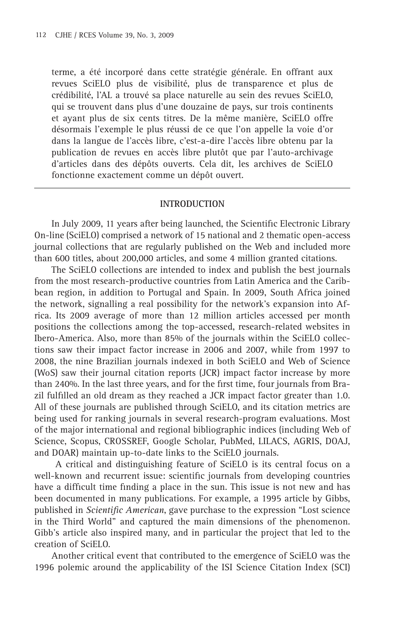terme, a été incorporé dans cette stratégie générale. En offrant aux revues SciELO plus de visibilité, plus de transparence et plus de crédibilité, l'AL a trouvé sa place naturelle au sein des revues SciELO, qui se trouvent dans plus d'une douzaine de pays, sur trois continents et ayant plus de six cents titres. De la même manière, SciELO offre désormais l'exemple le plus réussi de ce que l'on appelle la voie d'or dans la langue de l'accès libre, c'est-a-dire l'accès libre obtenu par la publication de revues en accès libre plutôt que par l'auto-archivage d'articles dans des dépôts ouverts. Cela dit, les archives de SciELO fonctionne exactement comme un dépôt ouvert.

#### **INTRODUCTION**

In July 2009, 11 years after being launched, the Scientific Electronic Library On-line (SciELO) comprised a network of 15 national and 2 thematic open-access journal collections that are regularly published on the Web and included more than 600 titles, about 200,000 articles, and some 4 million granted citations.

The SciELO collections are intended to index and publish the best journals from the most research-productive countries from Latin America and the Caribbean region, in addition to Portugal and Spain. In 2009, South Africa joined the network, signalling a real possibility for the network's expansion into Africa. Its 2009 average of more than 12 million articles accessed per month positions the collections among the top-accessed, research-related websites in Ibero-America. Also, more than 85% of the journals within the SciELO collections saw their impact factor increase in 2006 and 2007, while from 1997 to 2008, the nine Brazilian journals indexed in both SciELO and Web of Science (WoS) saw their journal citation reports (JCR) impact factor increase by more than 240%. In the last three years, and for the first time, four journals from Brazil fulfilled an old dream as they reached a JCR impact factor greater than 1.0. All of these journals are published through SciELO, and its citation metrics are being used for ranking journals in several research-program evaluations. Most of the major international and regional bibliographic indices (including Web of Science, Scopus, CROSSREF, Google Scholar, PubMed, LILACS, AGRIS, DOAJ, and DOAR) maintain up-to-date links to the SciELO journals.

 A critical and distinguishing feature of SciELO is its central focus on a well-known and recurrent issue: scientific journals from developing countries have a difficult time finding a place in the sun. This issue is not new and has been documented in many publications. For example, a 1995 article by Gibbs, published in *Scientific American*, gave purchase to the expression "Lost science in the Third World" and captured the main dimensions of the phenomenon. Gibb's article also inspired many, and in particular the project that led to the creation of SciELO.

Another critical event that contributed to the emergence of SciELO was the 1996 polemic around the applicability of the ISI Science Citation Index (SCI)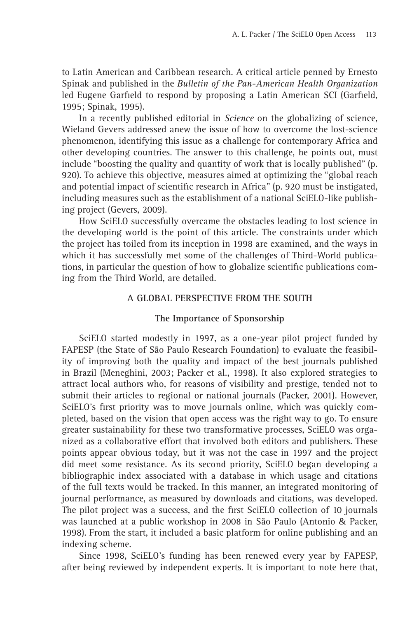to Latin American and Caribbean research. A critical article penned by Ernesto Spinak and published in the *Bulletin of the Pan-American Health Organization* led Eugene Garfield to respond by proposing a Latin American SCI (Garfield, 1995; Spinak, 1995).

In a recently published editorial in *Science* on the globalizing of science, Wieland Gevers addressed anew the issue of how to overcome the lost-science phenomenon, identifying this issue as a challenge for contemporary Africa and other developing countries. The answer to this challenge, he points out, must include "boosting the quality and quantity of work that is locally published" (p. 920). To achieve this objective, measures aimed at optimizing the "global reach and potential impact of scientific research in Africa" (p. 920 must be instigated, including measures such as the establishment of a national SciELO-like publishing project (Gevers, 2009).

How SciELO successfully overcame the obstacles leading to lost science in the developing world is the point of this article. The constraints under which the project has toiled from its inception in 1998 are examined, and the ways in which it has successfully met some of the challenges of Third-World publications, in particular the question of how to globalize scientific publications coming from the Third World, are detailed.

## **A GLOBAL PERSPECTIVE FROM THE SOUTH**

## **The Importance of Sponsorship**

SciELO started modestly in 1997, as a one-year pilot project funded by FAPESP (the State of São Paulo Research Foundation) to evaluate the feasibility of improving both the quality and impact of the best journals published in Brazil (Meneghini, 2003; Packer et al., 1998). It also explored strategies to attract local authors who, for reasons of visibility and prestige, tended not to submit their articles to regional or national journals (Packer, 2001). However, SciELO's first priority was to move journals online, which was quickly completed, based on the vision that open access was the right way to go. To ensure greater sustainability for these two transformative processes, SciELO was organized as a collaborative effort that involved both editors and publishers. These points appear obvious today, but it was not the case in 1997 and the project did meet some resistance. As its second priority, SciELO began developing a bibliographic index associated with a database in which usage and citations of the full texts would be tracked. In this manner, an integrated monitoring of journal performance, as measured by downloads and citations, was developed. The pilot project was a success, and the first SciELO collection of 10 journals was launched at a public workshop in 2008 in São Paulo (Antonio & Packer, 1998). From the start, it included a basic platform for online publishing and an indexing scheme.

Since 1998, SciELO's funding has been renewed every year by FAPESP, after being reviewed by independent experts. It is important to note here that,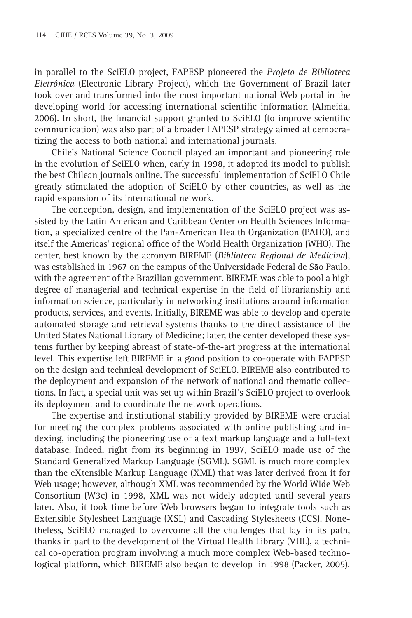in parallel to the SciELO project, FAPESP pioneered the *Projeto de Biblioteca Eletrônica* (Electronic Library Project), which the Government of Brazil later took over and transformed into the most important national Web portal in the developing world for accessing international scientific information (Almeida, 2006). In short, the financial support granted to SciELO (to improve scientific communication) was also part of a broader FAPESP strategy aimed at democratizing the access to both national and international journals.

Chile's National Science Council played an important and pioneering role in the evolution of SciELO when, early in 1998, it adopted its model to publish the best Chilean journals online. The successful implementation of SciELO Chile greatly stimulated the adoption of SciELO by other countries, as well as the rapid expansion of its international network.

The conception, design, and implementation of the SciELO project was assisted by the Latin American and Caribbean Center on Health Sciences Information, a specialized centre of the Pan-American Health Organization (PAHO), and itself the Americas' regional office of the World Health Organization (WHO). The center, best known by the acronym BIREME (*Biblioteca Regional de Medicina*), was established in 1967 on the campus of the Universidade Federal de São Paulo, with the agreement of the Brazilian government. BIREME was able to pool a high degree of managerial and technical expertise in the field of librarianship and information science, particularly in networking institutions around information products, services, and events. Initially, BIREME was able to develop and operate automated storage and retrieval systems thanks to the direct assistance of the United States National Library of Medicine; later, the center developed these systems further by keeping abreast of state-of-the-art progress at the international level. This expertise left BIREME in a good position to co-operate with FAPESP on the design and technical development of SciELO. BIREME also contributed to the deployment and expansion of the network of national and thematic collections. In fact, a special unit was set up within Brazil´s SciELO project to overlook its deployment and to coordinate the network operations.

The expertise and institutional stability provided by BIREME were crucial for meeting the complex problems associated with online publishing and indexing, including the pioneering use of a text markup language and a full-text database. Indeed, right from its beginning in 1997, SciELO made use of the Standard Generalized Markup Language (SGML). SGML is much more complex than the eXtensible Markup Language (XML) that was later derived from it for Web usage; however, although XML was recommended by the World Wide Web Consortium (W3c) in 1998, XML was not widely adopted until several years later. Also, it took time before Web browsers began to integrate tools such as Extensible Stylesheet Language (XSL) and Cascading Stylesheets (CCS). Nonetheless, SciELO managed to overcome all the challenges that lay in its path, thanks in part to the development of the Virtual Health Library (VHL), a technical co-operation program involving a much more complex Web-based technological platform, which BIREME also began to develop in 1998 (Packer, 2005).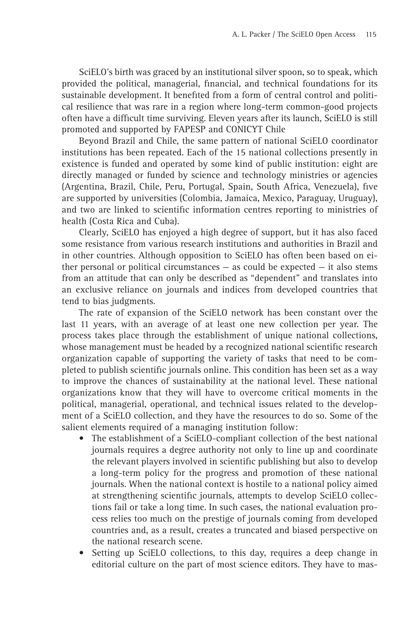SciELO's birth was graced by an institutional silver spoon, so to speak, which provided the political, managerial, financial, and technical foundations for its sustainable development. It benefited from a form of central control and political resilience that was rare in a region where long-term common-good projects often have a difficult time surviving. Eleven years after its launch, SciELO is still promoted and supported by FAPESP and CONICYT Chile

Beyond Brazil and Chile, the same pattern of national SciELO coordinator institutions has been repeated. Each of the 15 national collections presently in existence is funded and operated by some kind of public institution: eight are directly managed or funded by science and technology ministries or agencies (Argentina, Brazil, Chile, Peru, Portugal, Spain, South Africa, Venezuela), five are supported by universities (Colombia, Jamaica, Mexico, Paraguay, Uruguay), and two are linked to scientific information centres reporting to ministries of health (Costa Rica and Cuba).

Clearly, SciELO has enjoyed a high degree of support, but it has also faced some resistance from various research institutions and authorities in Brazil and in other countries. Although opposition to SciELO has often been based on either personal or political circumstances  $-$  as could be expected  $-$  it also stems from an attitude that can only be described as "dependent" and translates into an exclusive reliance on journals and indices from developed countries that tend to bias judgments.

The rate of expansion of the SciELO network has been constant over the last 11 years, with an average of at least one new collection per year. The process takes place through the establishment of unique national collections, whose management must be headed by a recognized national scientific research organization capable of supporting the variety of tasks that need to be completed to publish scientific journals online. This condition has been set as a way to improve the chances of sustainability at the national level. These national organizations know that they will have to overcome critical moments in the political, managerial, operational, and technical issues related to the development of a SciELO collection, and they have the resources to do so. Some of the salient elements required of a managing institution follow:

- The establishment of a SciELO-compliant collection of the best national journals requires a degree authority not only to line up and coordinate the relevant players involved in scientific publishing but also to develop a long-term policy for the progress and promotion of these national journals. When the national context is hostile to a national policy aimed at strengthening scientific journals, attempts to develop SciELO collections fail or take a long time. In such cases, the national evaluation process relies too much on the prestige of journals coming from developed countries and, as a result, creates a truncated and biased perspective on the national research scene. •
- Setting up SciELO collections, to this day, requires a deep change in editorial culture on the part of most science editors. They have to mas-  $\bullet$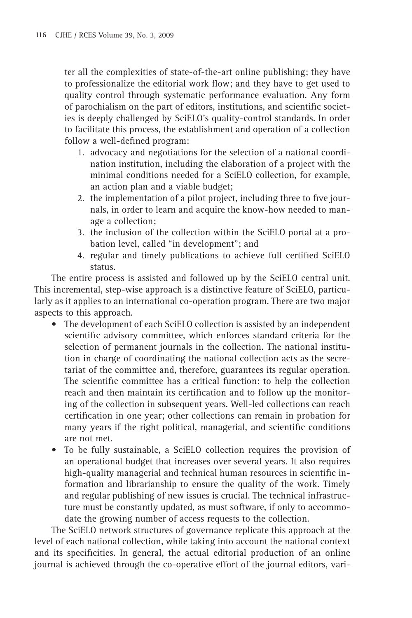ter all the complexities of state-of-the-art online publishing; they have to professionalize the editorial work flow; and they have to get used to quality control through systematic performance evaluation. Any form of parochialism on the part of editors, institutions, and scientific societies is deeply challenged by SciELO's quality-control standards. In order to facilitate this process, the establishment and operation of a collection follow a well-defined program:

- 1. advocacy and negotiations for the selection of a national coordination institution, including the elaboration of a project with the minimal conditions needed for a SciELO collection, for example, an action plan and a viable budget;
- 2. the implementation of a pilot project, including three to five journals, in order to learn and acquire the know-how needed to manage a collection;
- 3. the inclusion of the collection within the SciELO portal at a probation level, called "in development"; and
- 4. regular and timely publications to achieve full certified SciELO status.

The entire process is assisted and followed up by the SciELO central unit. This incremental, step-wise approach is a distinctive feature of SciELO, particularly as it applies to an international co-operation program. There are two major aspects to this approach.

- The development of each SciELO collection is assisted by an independent scientific advisory committee, which enforces standard criteria for the selection of permanent journals in the collection. The national institution in charge of coordinating the national collection acts as the secretariat of the committee and, therefore, guarantees its regular operation. The scientific committee has a critical function: to help the collection reach and then maintain its certification and to follow up the monitoring of the collection in subsequent years. Well-led collections can reach certification in one year; other collections can remain in probation for many years if the right political, managerial, and scientific conditions are not met.
- To be fully sustainable, a SciELO collection requires the provision of •an operational budget that increases over several years. It also requires high-quality managerial and technical human resources in scientific information and librarianship to ensure the quality of the work. Timely and regular publishing of new issues is crucial. The technical infrastructure must be constantly updated, as must software, if only to accommodate the growing number of access requests to the collection.

The SciELO network structures of governance replicate this approach at the level of each national collection, while taking into account the national context and its specificities. In general, the actual editorial production of an online journal is achieved through the co-operative effort of the journal editors, vari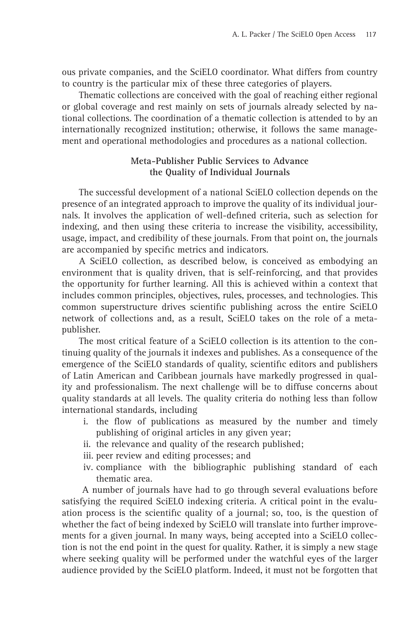ous private companies, and the SciELO coordinator. What differs from country to country is the particular mix of these three categories of players.

Thematic collections are conceived with the goal of reaching either regional or global coverage and rest mainly on sets of journals already selected by national collections. The coordination of a thematic collection is attended to by an internationally recognized institution; otherwise, it follows the same management and operational methodologies and procedures as a national collection.

## **Meta-Publisher Public Services to Advance the Quality of Individual Journals**

The successful development of a national SciELO collection depends on the presence of an integrated approach to improve the quality of its individual journals. It involves the application of well-defined criteria, such as selection for indexing, and then using these criteria to increase the visibility, accessibility, usage, impact, and credibility of these journals. From that point on, the journals are accompanied by specific metrics and indicators.

A SciELO collection, as described below, is conceived as embodying an environment that is quality driven, that is self-reinforcing, and that provides the opportunity for further learning. All this is achieved within a context that includes common principles, objectives, rules, processes, and technologies. This common superstructure drives scientific publishing across the entire SciELO network of collections and, as a result, SciELO takes on the role of a metapublisher.

The most critical feature of a SciELO collection is its attention to the continuing quality of the journals it indexes and publishes. As a consequence of the emergence of the SciELO standards of quality, scientific editors and publishers of Latin American and Caribbean journals have markedly progressed in quality and professionalism. The next challenge will be to diffuse concerns about quality standards at all levels. The quality criteria do nothing less than follow international standards, including

- i. the flow of publications as measured by the number and timely publishing of original articles in any given year;
- ii. the relevance and quality of the research published;
- iii. peer review and editing processes; and
- iv. compliance with the bibliographic publishing standard of each thematic area.

 A number of journals have had to go through several evaluations before satisfying the required SciELO indexing criteria. A critical point in the evaluation process is the scientific quality of a journal; so, too, is the question of whether the fact of being indexed by SciELO will translate into further improvements for a given journal. In many ways, being accepted into a SciELO collection is not the end point in the quest for quality. Rather, it is simply a new stage where seeking quality will be performed under the watchful eyes of the larger audience provided by the SciELO platform. Indeed, it must not be forgotten that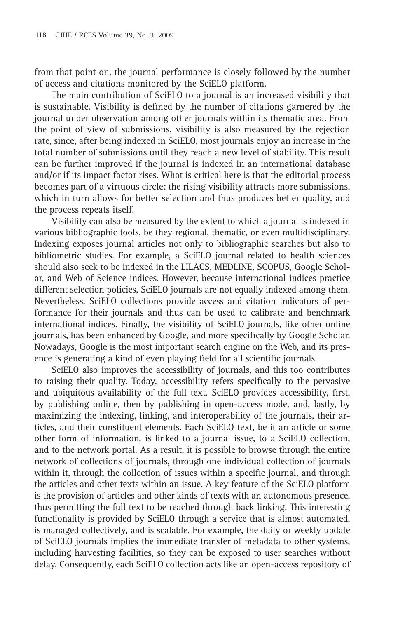from that point on, the journal performance is closely followed by the number of access and citations monitored by the SciELO platform.

The main contribution of SciELO to a journal is an increased visibility that is sustainable. Visibility is defined by the number of citations garnered by the journal under observation among other journals within its thematic area. From the point of view of submissions, visibility is also measured by the rejection rate, since, after being indexed in SciELO, most journals enjoy an increase in the total number of submissions until they reach a new level of stability. This result can be further improved if the journal is indexed in an international database and/or if its impact factor rises. What is critical here is that the editorial process becomes part of a virtuous circle: the rising visibility attracts more submissions, which in turn allows for better selection and thus produces better quality, and the process repeats itself.

Visibility can also be measured by the extent to which a journal is indexed in various bibliographic tools, be they regional, thematic, or even multidisciplinary. Indexing exposes journal articles not only to bibliographic searches but also to bibliometric studies. For example, a SciELO journal related to health sciences should also seek to be indexed in the LILACS, MEDLINE, SCOPUS, Google Scholar, and Web of Science indices. However, because international indices practice different selection policies, SciELO journals are not equally indexed among them. Nevertheless, SciELO collections provide access and citation indicators of performance for their journals and thus can be used to calibrate and benchmark international indices. Finally, the visibility of SciELO journals, like other online journals, has been enhanced by Google, and more specifically by Google Scholar. Nowadays, Google is the most important search engine on the Web, and its presence is generating a kind of even playing field for all scientific journals.

SciELO also improves the accessibility of journals, and this too contributes to raising their quality. Today, accessibility refers specifically to the pervasive and ubiquitous availability of the full text. SciELO provides accessibility, first, by publishing online, then by publishing in open-access mode, and, lastly, by maximizing the indexing, linking, and interoperability of the journals, their articles, and their constituent elements. Each SciELO text, be it an article or some other form of information, is linked to a journal issue, to a SciELO collection, and to the network portal. As a result, it is possible to browse through the entire network of collections of journals, through one individual collection of journals within it, through the collection of issues within a specific journal, and through the articles and other texts within an issue. A key feature of the SciELO platform is the provision of articles and other kinds of texts with an autonomous presence, thus permitting the full text to be reached through back linking. This interesting functionality is provided by SciELO through a service that is almost automated, is managed collectively, and is scalable. For example, the daily or weekly update of SciELO journals implies the immediate transfer of metadata to other systems, including harvesting facilities, so they can be exposed to user searches without delay. Consequently, each SciELO collection acts like an open-access repository of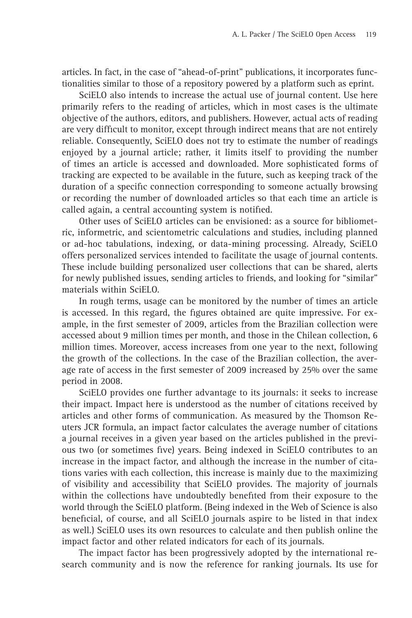articles. In fact, in the case of "ahead-of-print" publications, it incorporates functionalities similar to those of a repository powered by a platform such as eprint.

SciELO also intends to increase the actual use of journal content. Use here primarily refers to the reading of articles, which in most cases is the ultimate objective of the authors, editors, and publishers. However, actual acts of reading are very difficult to monitor, except through indirect means that are not entirely reliable. Consequently, SciELO does not try to estimate the number of readings enjoyed by a journal article; rather, it limits itself to providing the number of times an article is accessed and downloaded. More sophisticated forms of tracking are expected to be available in the future, such as keeping track of the duration of a specific connection corresponding to someone actually browsing or recording the number of downloaded articles so that each time an article is called again, a central accounting system is notified.

Other uses of SciELO articles can be envisioned: as a source for bibliometric, informetric, and scientometric calculations and studies, including planned or ad-hoc tabulations, indexing, or data-mining processing. Already, SciELO offers personalized services intended to facilitate the usage of journal contents. These include building personalized user collections that can be shared, alerts for newly published issues, sending articles to friends, and looking for "similar" materials within SciELO.

In rough terms, usage can be monitored by the number of times an article is accessed. In this regard, the figures obtained are quite impressive. For example, in the first semester of 2009, articles from the Brazilian collection were accessed about 9 million times per month, and those in the Chilean collection, 6 million times. Moreover, access increases from one year to the next, following the growth of the collections. In the case of the Brazilian collection, the average rate of access in the first semester of 2009 increased by 25% over the same period in 2008.

SciELO provides one further advantage to its journals: it seeks to increase their impact. Impact here is understood as the number of citations received by articles and other forms of communication. As measured by the Thomson Reuters JCR formula, an impact factor calculates the average number of citations a journal receives in a given year based on the articles published in the previous two (or sometimes five) years. Being indexed in SciELO contributes to an increase in the impact factor, and although the increase in the number of citations varies with each collection, this increase is mainly due to the maximizing of visibility and accessibility that SciELO provides. The majority of journals within the collections have undoubtedly benefited from their exposure to the world through the SciELO platform. (Being indexed in the Web of Science is also beneficial, of course, and all SciELO journals aspire to be listed in that index as well.) SciELO uses its own resources to calculate and then publish online the impact factor and other related indicators for each of its journals.

The impact factor has been progressively adopted by the international research community and is now the reference for ranking journals. Its use for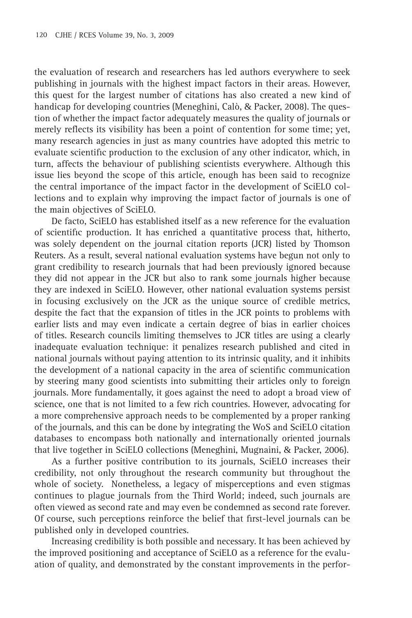the evaluation of research and researchers has led authors everywhere to seek publishing in journals with the highest impact factors in their areas. However, this quest for the largest number of citations has also created a new kind of handicap for developing countries (Meneghini, Calò, & Packer, 2008). The question of whether the impact factor adequately measures the quality of journals or merely reflects its visibility has been a point of contention for some time; yet, many research agencies in just as many countries have adopted this metric to evaluate scientific production to the exclusion of any other indicator, which, in turn, affects the behaviour of publishing scientists everywhere. Although this issue lies beyond the scope of this article, enough has been said to recognize the central importance of the impact factor in the development of SciELO collections and to explain why improving the impact factor of journals is one of the main objectives of SciELO.

De facto, SciELO has established itself as a new reference for the evaluation of scientific production. It has enriched a quantitative process that, hitherto, was solely dependent on the journal citation reports (JCR) listed by Thomson Reuters. As a result, several national evaluation systems have begun not only to grant credibility to research journals that had been previously ignored because they did not appear in the JCR but also to rank some journals higher because they are indexed in SciELO. However, other national evaluation systems persist in focusing exclusively on the JCR as the unique source of credible metrics, despite the fact that the expansion of titles in the JCR points to problems with earlier lists and may even indicate a certain degree of bias in earlier choices of titles. Research councils limiting themselves to JCR titles are using a clearly inadequate evaluation technique: it penalizes research published and cited in national journals without paying attention to its intrinsic quality, and it inhibits the development of a national capacity in the area of scientific communication by steering many good scientists into submitting their articles only to foreign journals. More fundamentally, it goes against the need to adopt a broad view of science, one that is not limited to a few rich countries. However, advocating for a more comprehensive approach needs to be complemented by a proper ranking of the journals, and this can be done by integrating the WoS and SciELO citation databases to encompass both nationally and internationally oriented journals that live together in SciELO collections (Meneghini, Mugnaini, & Packer, 2006).

As a further positive contribution to its journals, SciELO increases their credibility, not only throughout the research community but throughout the whole of society. Nonetheless, a legacy of misperceptions and even stigmas continues to plague journals from the Third World; indeed, such journals are often viewed as second rate and may even be condemned as second rate forever. Of course, such perceptions reinforce the belief that first-level journals can be published only in developed countries.

Increasing credibility is both possible and necessary. It has been achieved by the improved positioning and acceptance of SciELO as a reference for the evaluation of quality, and demonstrated by the constant improvements in the perfor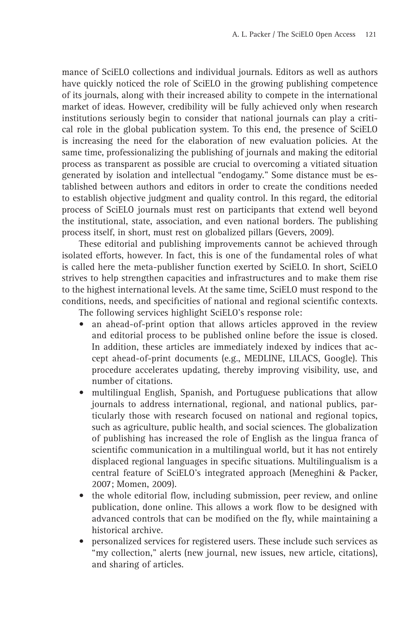mance of SciELO collections and individual journals. Editors as well as authors have quickly noticed the role of SciELO in the growing publishing competence of its journals, along with their increased ability to compete in the international market of ideas. However, credibility will be fully achieved only when research institutions seriously begin to consider that national journals can play a critical role in the global publication system. To this end, the presence of SciELO is increasing the need for the elaboration of new evaluation policies. At the same time, professionalizing the publishing of journals and making the editorial process as transparent as possible are crucial to overcoming a vitiated situation generated by isolation and intellectual "endogamy." Some distance must be established between authors and editors in order to create the conditions needed to establish objective judgment and quality control. In this regard, the editorial process of SciELO journals must rest on participants that extend well beyond the institutional, state, association, and even national borders. The publishing process itself, in short, must rest on globalized pillars (Gevers, 2009).

These editorial and publishing improvements cannot be achieved through isolated efforts, however. In fact, this is one of the fundamental roles of what is called here the meta-publisher function exerted by SciELO. In short, SciELO strives to help strengthen capacities and infrastructures and to make them rise to the highest international levels. At the same time, SciELO must respond to the conditions, needs, and specificities of national and regional scientific contexts.

The following services highlight SciELO's response role:

- an ahead-of-print option that allows articles approved in the review and editorial process to be published online before the issue is closed. In addition, these articles are immediately indexed by indices that accept ahead-of-print documents (e.g., MEDLINE, LILACS, Google). This procedure accelerates updating, thereby improving visibility, use, and number of citations. •
- multilingual English, Spanish, and Portuguese publications that allow journals to address international, regional, and national publics, particularly those with research focused on national and regional topics, such as agriculture, public health, and social sciences. The globalization of publishing has increased the role of English as the lingua franca of scientific communication in a multilingual world, but it has not entirely displaced regional languages in specific situations. Multilingualism is a central feature of SciELO's integrated approach (Meneghini & Packer, 2007; Momen, 2009).  $\bullet$
- the whole editorial flow, including submission, peer review, and online publication, done online. This allows a work flow to be designed with advanced controls that can be modified on the fly, while maintaining a historical archive.
- personalized services for registered users. These include such services as "my collection," alerts (new journal, new issues, new article, citations), and sharing of articles. •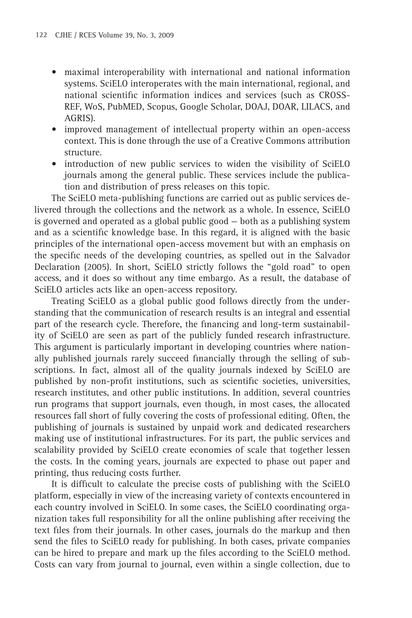- maximal interoperability with international and national information systems. SciELO interoperates with the main international, regional, and national scientific information indices and services (such as CROSS-REF, WoS, PubMED, Scopus, Google Scholar, DOAJ, DOAR, LILACS, and AGRIS).
- improved management of intellectual property within an open-access context. This is done through the use of a Creative Commons attribution structure.
- introduction of new public services to widen the visibility of SciELO journals among the general public. These services include the publication and distribution of press releases on this topic.

The SciELO meta-publishing functions are carried out as public services delivered through the collections and the network as a whole. In essence, SciELO is governed and operated as a global public good — both as a publishing system and as a scientific knowledge base. In this regard, it is aligned with the basic principles of the international open-access movement but with an emphasis on the specific needs of the developing countries, as spelled out in the Salvador Declaration (2005). In short, SciELO strictly follows the "gold road" to open access, and it does so without any time embargo. As a result, the database of SciELO articles acts like an open-access repository.

Treating SciELO as a global public good follows directly from the understanding that the communication of research results is an integral and essential part of the research cycle. Therefore, the financing and long-term sustainability of SciELO are seen as part of the publicly funded research infrastructure. This argument is particularly important in developing countries where nationally published journals rarely succeed financially through the selling of subscriptions. In fact, almost all of the quality journals indexed by SciELO are published by non-profit institutions, such as scientific societies, universities, research institutes, and other public institutions. In addition, several countries run programs that support journals, even though, in most cases, the allocated resources fall short of fully covering the costs of professional editing. Often, the publishing of journals is sustained by unpaid work and dedicated researchers making use of institutional infrastructures. For its part, the public services and scalability provided by SciELO create economies of scale that together lessen the costs. In the coming years, journals are expected to phase out paper and printing, thus reducing costs further.

It is difficult to calculate the precise costs of publishing with the SciELO platform, especially in view of the increasing variety of contexts encountered in each country involved in SciELO. In some cases, the SciELO coordinating organization takes full responsibility for all the online publishing after receiving the text files from their journals. In other cases, journals do the markup and then send the files to SciELO ready for publishing. In both cases, private companies can be hired to prepare and mark up the files according to the SciELO method. Costs can vary from journal to journal, even within a single collection, due to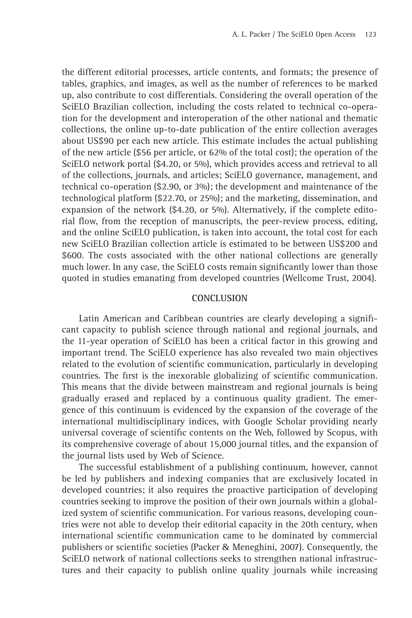the different editorial processes, article contents, and formats; the presence of tables, graphics, and images, as well as the number of references to be marked up, also contribute to cost differentials. Considering the overall operation of the SciELO Brazilian collection, including the costs related to technical co-operation for the development and interoperation of the other national and thematic collections, the online up-to-date publication of the entire collection averages about US\$90 per each new article. This estimate includes the actual publishing of the new article (\$56 per article, or 62% of the total cost); the operation of the SciELO network portal (\$4.20, or 5%), which provides access and retrieval to all of the collections, journals, and articles; SciELO governance, management, and technical co-operation (\$2.90, or 3%); the development and maintenance of the technological platform (\$22.70, or 25%); and the marketing, dissemination, and expansion of the network (\$4.20, or 5%). Alternatively, if the complete editorial flow, from the reception of manuscripts, the peer-review process, editing, and the online SciELO publication, is taken into account, the total cost for each new SciELO Brazilian collection article is estimated to be between US\$200 and \$600. The costs associated with the other national collections are generally much lower. In any case, the SciELO costs remain significantly lower than those quoted in studies emanating from developed countries (Wellcome Trust, 2004).

#### **CONCLUSION**

Latin American and Caribbean countries are clearly developing a significant capacity to publish science through national and regional journals, and the 11-year operation of SciELO has been a critical factor in this growing and important trend. The SciELO experience has also revealed two main objectives related to the evolution of scientific communication, particularly in developing countries. The first is the inexorable globalizing of scientific communication. This means that the divide between mainstream and regional journals is being gradually erased and replaced by a continuous quality gradient. The emergence of this continuum is evidenced by the expansion of the coverage of the international multidisciplinary indices, with Google Scholar providing nearly universal coverage of scientific contents on the Web, followed by Scopus, with its comprehensive coverage of about 15,000 journal titles, and the expansion of the journal lists used by Web of Science.

The successful establishment of a publishing continuum, however, cannot be led by publishers and indexing companies that are exclusively located in developed countries; it also requires the proactive participation of developing countries seeking to improve the position of their own journals within a globalized system of scientific communication. For various reasons, developing countries were not able to develop their editorial capacity in the 20th century, when international scientific communication came to be dominated by commercial publishers or scientific societies (Packer & Meneghini, 2007). Consequently, the SciELO network of national collections seeks to strengthen national infrastructures and their capacity to publish online quality journals while increasing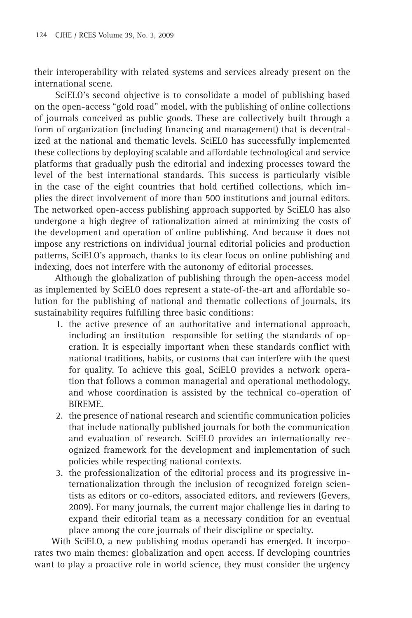their interoperability with related systems and services already present on the international scene.

 SciELO's second objective is to consolidate a model of publishing based on the open-access "gold road" model, with the publishing of online collections of journals conceived as public goods. These are collectively built through a form of organization (including financing and management) that is decentralized at the national and thematic levels. SciELO has successfully implemented these collections by deploying scalable and affordable technological and service platforms that gradually push the editorial and indexing processes toward the level of the best international standards. This success is particularly visible in the case of the eight countries that hold certified collections, which implies the direct involvement of more than 500 institutions and journal editors. The networked open-access publishing approach supported by SciELO has also undergone a high degree of rationalization aimed at minimizing the costs of the development and operation of online publishing. And because it does not impose any restrictions on individual journal editorial policies and production patterns, SciELO's approach, thanks to its clear focus on online publishing and indexing, does not interfere with the autonomy of editorial processes.

 Although the globalization of publishing through the open-access model as implemented by SciELO does represent a state-of-the-art and affordable solution for the publishing of national and thematic collections of journals, its sustainability requires fulfilling three basic conditions:

- 1. the active presence of an authoritative and international approach, including an institution responsible for setting the standards of operation. It is especially important when these standards conflict with national traditions, habits, or customs that can interfere with the quest for quality. To achieve this goal, SciELO provides a network operation that follows a common managerial and operational methodology, and whose coordination is assisted by the technical co-operation of BIREME.
- 2. the presence of national research and scientific communication policies that include nationally published journals for both the communication and evaluation of research. SciELO provides an internationally recognized framework for the development and implementation of such policies while respecting national contexts.
- 3. the professionalization of the editorial process and its progressive internationalization through the inclusion of recognized foreign scientists as editors or co-editors, associated editors, and reviewers (Gevers, 2009). For many journals, the current major challenge lies in daring to expand their editorial team as a necessary condition for an eventual place among the core journals of their discipline or specialty.

With SciELO, a new publishing modus operandi has emerged. It incorporates two main themes: globalization and open access. If developing countries want to play a proactive role in world science, they must consider the urgency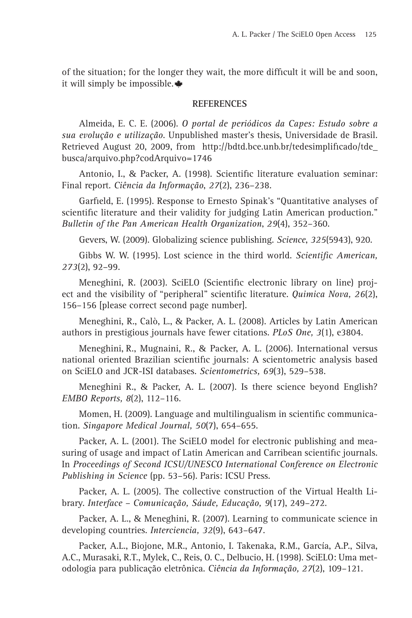of the situation; for the longer they wait, the more difficult it will be and soon, it will simply be impossible.

#### **REFERENCES**

Almeida, E. C. E. (2006). *O portal de periódicos da Capes: Estudo sobre a sua evolução e utilização*. Unpublished master's thesis, Universidade de Brasil. Retrieved August 20, 2009, from http://bdtd.bce.unb.br/tedesimplificado/tde busca/arquivo.php?codArquivo=1746

Antonio, I., & Packer, A. (1998). Scientific literature evaluation seminar: Final report. *Ciência da Informação*, *27*(2), 236–238.

Garfield, E. (1995). Response to Ernesto Spinak's "Quantitative analyses of scientific literature and their validity for judging Latin American production." *Bulletin of the Pan American Health Organization*, *29*(4), 352–360.

Gevers, W. (2009). Globalizing science publishing. *Science*, *325*(5943), 920.

Gibbs W. W. (1995). Lost science in the third world. *Scientific American*, *273*(2), 92–99.

Meneghini, R. (2003). SciELO (Scientific electronic library on line) project and the visibility of "peripheral" scientific literature. *Quimica Nova*, 26(2), 156–156 [please correct second page number].

Meneghini, R., Calò, L., & Packer, A. L. (2008). Articles by Latin American authors in prestigious journals have fewer citations. *PLoS One, 3*(1), e3804.

Meneghini, R., Mugnaini, R., & Packer, A. L. (2006). International versus national oriented Brazilian scientific journals: A scientometric analysis based on SciELO and JCR-ISI databases. *Scientometrics, 69*(3), 529–538.

Meneghini R., & Packer, A. L. (2007). Is there science beyond English? *EMBO Reports, 8*(2), 112–116.

Momen, H. (2009). Language and multilingualism in scientific communication. *Singapore Medical Journal, 50*(7), 654–655.

Packer, A. L. (2001). The SciELO model for electronic publishing and measuring of usage and impact of Latin American and Carribean scientific journals. In *Proceedings of Second ICSU/UNESCO International Conference on Electronic Publishing in Science* (pp. 53–56). Paris: ICSU Press.

Packer, A. L. (2005). The collective construction of the Virtual Health Library. *Interface – Comunicação, Sáude, Educação, 9*(17), 249–272.

Packer, A. L., & Meneghini, R. (2007). Learning to communicate science in developing countries. *Interciencia, 32*(9), 643–647.

Packer, A.L., Biojone, M.R., Antonio, I. Takenaka, R.M., García, A.P., Silva, A.C., Murasaki, R.T., Mylek, C., Reis, O. C., Delbucio, H. (1998). SciELO: Uma metodologia para publicação eletrônica. *Ciência da Informação, 27*(2), 109–121.